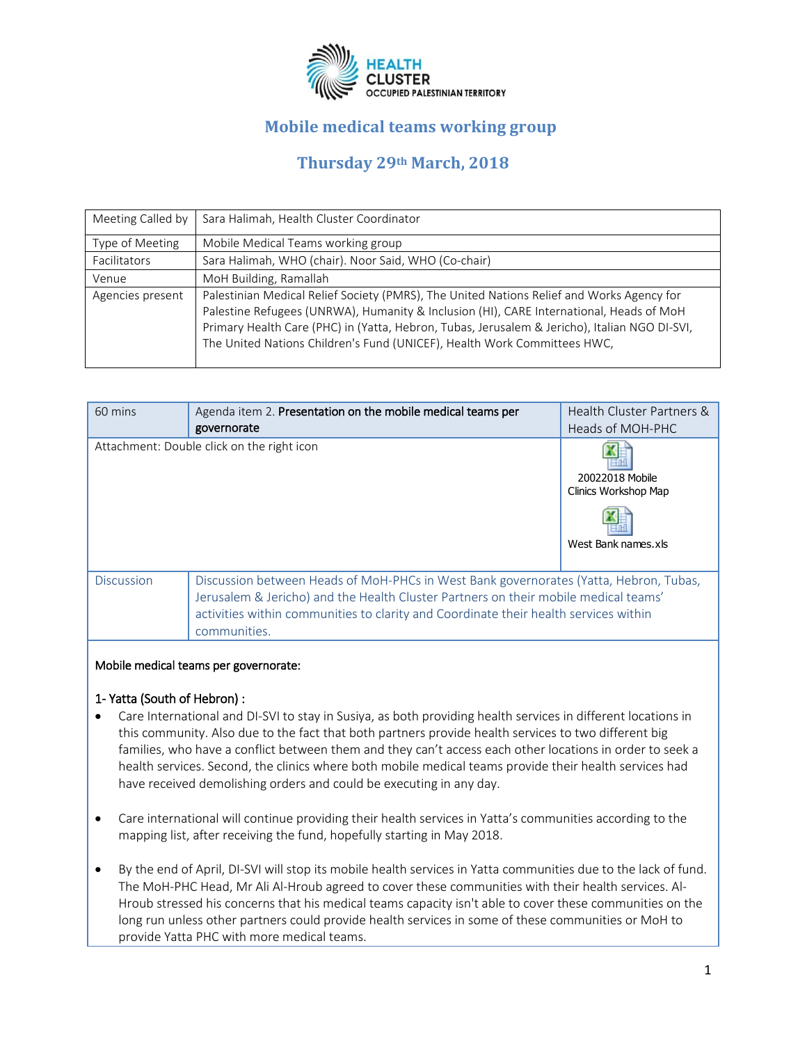

# **Mobile medical teams working group**

# **Thursday 29th March, 2018**

| Meeting Called by | Sara Halimah, Health Cluster Coordinator                                                                                                                                                                                                                                                                                                                          |
|-------------------|-------------------------------------------------------------------------------------------------------------------------------------------------------------------------------------------------------------------------------------------------------------------------------------------------------------------------------------------------------------------|
| Type of Meeting   | Mobile Medical Teams working group                                                                                                                                                                                                                                                                                                                                |
| Facilitators      | Sara Halimah, WHO (chair). Noor Said, WHO (Co-chair)                                                                                                                                                                                                                                                                                                              |
| Venue             | MoH Building, Ramallah                                                                                                                                                                                                                                                                                                                                            |
| Agencies present  | Palestinian Medical Relief Society (PMRS), The United Nations Relief and Works Agency for<br>Palestine Refugees (UNRWA), Humanity & Inclusion (HI), CARE International, Heads of MoH<br>Primary Health Care (PHC) in (Yatta, Hebron, Tubas, Jerusalem & Jericho), Italian NGO DI-SVI,<br>The United Nations Children's Fund (UNICEF), Health Work Committees HWC, |

| 60 mins                                    | Agenda item 2. Presentation on the mobile medical teams per<br>governorate                                                                                                                                                                                                           | Health Cluster Partners &<br>Heads of MOH-PHC                  |
|--------------------------------------------|--------------------------------------------------------------------------------------------------------------------------------------------------------------------------------------------------------------------------------------------------------------------------------------|----------------------------------------------------------------|
| Attachment: Double click on the right icon |                                                                                                                                                                                                                                                                                      | 20022018 Mobile<br>Clinics Workshop Map<br>West Bank names.xls |
| <b>Discussion</b>                          | Discussion between Heads of MoH-PHCs in West Bank governorates (Yatta, Hebron, Tubas,<br>Jerusalem & Jericho) and the Health Cluster Partners on their mobile medical teams'<br>activities within communities to clarity and Coordinate their health services within<br>communities. |                                                                |
|                                            |                                                                                                                                                                                                                                                                                      |                                                                |

#### Mobile medical teams per governorate:

#### 1- Yatta (South of Hebron) :

- Care International and DI-SVI to stay in Susiya, as both providing health services in different locations in this community. Also due to the fact that both partners provide health services to two different big families, who have a conflict between them and they can't access each other locations in order to seek a health services. Second, the clinics where both mobile medical teams provide their health services had have received demolishing orders and could be executing in any day.
- Care international will continue providing their health services in Yatta's communities according to the mapping list, after receiving the fund, hopefully starting in May 2018.
- By the end of April, DI-SVI will stop its mobile health services in Yatta communities due to the lack of fund. The MoH-PHC Head, Mr Ali Al-Hroub agreed to cover these communities with their health services. Al-Hroub stressed his concerns that his medical teams capacity isn't able to cover these communities on the long run unless other partners could provide health services in some of these communities or MoH to provide Yatta PHC with more medical teams.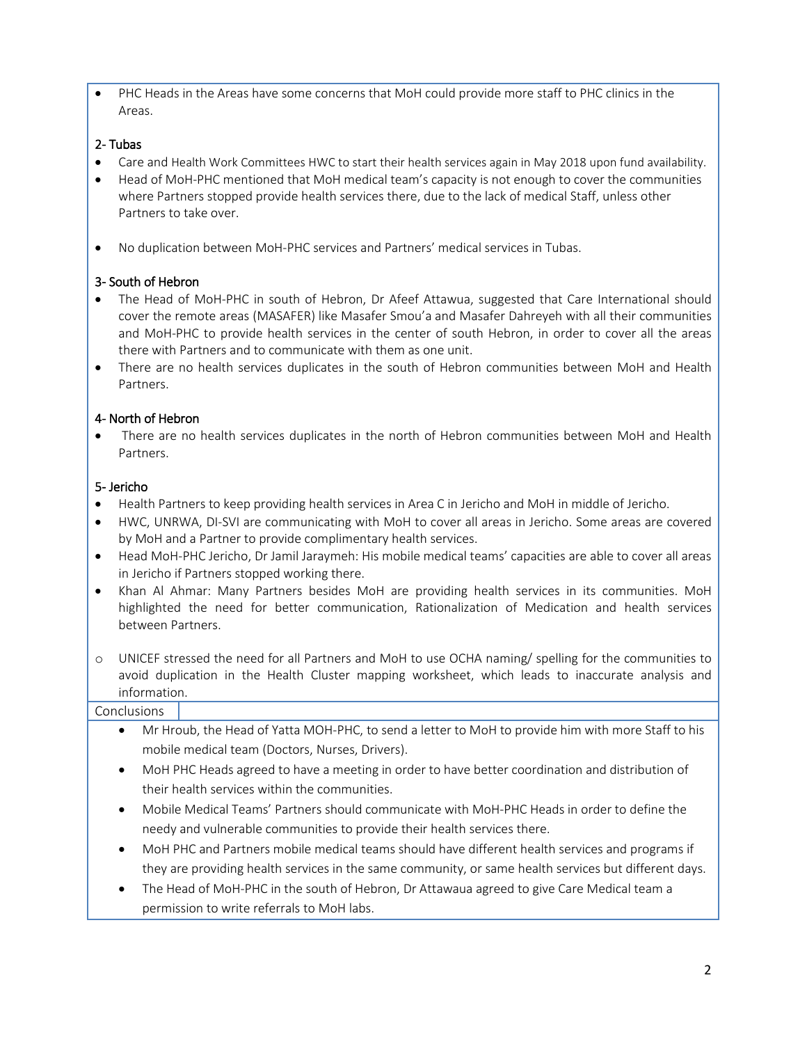• PHC Heads in the Areas have some concerns that MoH could provide more staff to PHC clinics in the Areas.

### 2- Tubas

- Care and Health Work Committees HWC to start their health services again in May 2018 upon fund availability.
- Head of MoH-PHC mentioned that MoH medical team's capacity is not enough to cover the communities where Partners stopped provide health services there, due to the lack of medical Staff, unless other Partners to take over.
- No duplication between MoH-PHC services and Partners' medical services in Tubas.

# 3- South of Hebron

- The Head of MoH-PHC in south of Hebron, Dr Afeef Attawua, suggested that Care International should cover the remote areas (MASAFER) like Masafer Smou'a and Masafer Dahreyeh with all their communities and MoH-PHC to provide health services in the center of south Hebron, in order to cover all the areas there with Partners and to communicate with them as one unit.
- There are no health services duplicates in the south of Hebron communities between MoH and Health Partners.

# 4- North of Hebron

There are no health services duplicates in the north of Hebron communities between MoH and Health Partners.

# 5- Jericho

- Health Partners to keep providing health services in Area C in Jericho and MoH in middle of Jericho.
- HWC, UNRWA, DI-SVI are communicating with MoH to cover all areas in Jericho. Some areas are covered by MoH and a Partner to provide complimentary health services.
- Head MoH-PHC Jericho, Dr Jamil Jaraymeh: His mobile medical teams' capacities are able to cover all areas in Jericho if Partners stopped working there.
- Khan Al Ahmar: Many Partners besides MoH are providing health services in its communities. MoH highlighted the need for better communication, Rationalization of Medication and health services between Partners.
- o UNICEF stressed the need for all Partners and MoH to use OCHA naming/ spelling for the communities to avoid duplication in the Health Cluster mapping worksheet, which leads to inaccurate analysis and information.

### **Conclusions**

- Mr Hroub, the Head of Yatta MOH-PHC, to send a letter to MoH to provide him with more Staff to his mobile medical team (Doctors, Nurses, Drivers).
- MoH PHC Heads agreed to have a meeting in order to have better coordination and distribution of their health services within the communities.
- Mobile Medical Teams' Partners should communicate with MoH-PHC Heads in order to define the needy and vulnerable communities to provide their health services there.
- MoH PHC and Partners mobile medical teams should have different health services and programs if they are providing health services in the same community, or same health services but different days.
- The Head of MoH-PHC in the south of Hebron, Dr Attawaua agreed to give Care Medical team a permission to write referrals to MoH labs.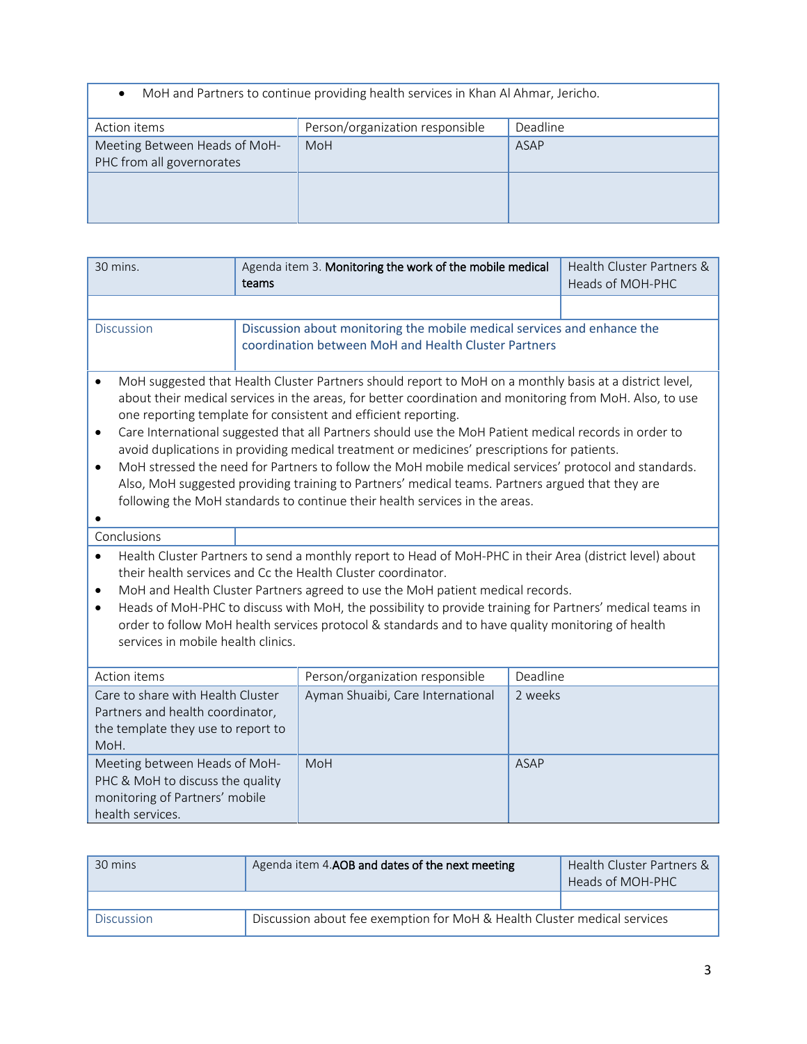| MoH and Partners to continue providing health services in Khan Al Ahmar, Jericho. |
|-----------------------------------------------------------------------------------|
|-----------------------------------------------------------------------------------|

| MoH and Partners to continue providing health services in Khan Al Ahmar, Jericho. |                                 |          |  |
|-----------------------------------------------------------------------------------|---------------------------------|----------|--|
| Action items                                                                      | Person/organization responsible | Deadline |  |
| Meeting Between Heads of MoH-<br>PHC from all governorates                        | MoH                             | ASAP     |  |
|                                                                                   |                                 |          |  |

| 30 mins.                                                                                                                                                                                             |                                                                                | Agenda item 3. Monitoring the work of the mobile medical                                                 |             | Health Cluster Partners & |
|------------------------------------------------------------------------------------------------------------------------------------------------------------------------------------------------------|--------------------------------------------------------------------------------|----------------------------------------------------------------------------------------------------------|-------------|---------------------------|
|                                                                                                                                                                                                      | teams                                                                          |                                                                                                          |             | Heads of MOH-PHC          |
|                                                                                                                                                                                                      |                                                                                |                                                                                                          |             |                           |
| Discussion                                                                                                                                                                                           |                                                                                | Discussion about monitoring the mobile medical services and enhance the                                  |             |                           |
|                                                                                                                                                                                                      |                                                                                | coordination between MoH and Health Cluster Partners                                                     |             |                           |
|                                                                                                                                                                                                      |                                                                                |                                                                                                          |             |                           |
| MoH suggested that Health Cluster Partners should report to MoH on a monthly basis at a district level,<br>$\bullet$                                                                                 |                                                                                |                                                                                                          |             |                           |
|                                                                                                                                                                                                      |                                                                                | about their medical services in the areas, for better coordination and monitoring from MoH. Also, to use |             |                           |
|                                                                                                                                                                                                      |                                                                                | one reporting template for consistent and efficient reporting.                                           |             |                           |
| $\bullet$                                                                                                                                                                                            |                                                                                | Care International suggested that all Partners should use the MoH Patient medical records in order to    |             |                           |
| avoid duplications in providing medical treatment or medicines' prescriptions for patients.<br>MoH stressed the need for Partners to follow the MoH mobile medical services' protocol and standards. |                                                                                |                                                                                                          |             |                           |
| $\bullet$<br>Also, MoH suggested providing training to Partners' medical teams. Partners argued that they are                                                                                        |                                                                                |                                                                                                          |             |                           |
| following the MoH standards to continue their health services in the areas.                                                                                                                          |                                                                                |                                                                                                          |             |                           |
|                                                                                                                                                                                                      |                                                                                |                                                                                                          |             |                           |
| Conclusions                                                                                                                                                                                          |                                                                                |                                                                                                          |             |                           |
| Health Cluster Partners to send a monthly report to Head of MoH-PHC in their Area (district level) about<br>$\bullet$                                                                                |                                                                                |                                                                                                          |             |                           |
| their health services and Cc the Health Cluster coordinator.                                                                                                                                         |                                                                                |                                                                                                          |             |                           |
| $\bullet$                                                                                                                                                                                            | MoH and Health Cluster Partners agreed to use the MoH patient medical records. |                                                                                                          |             |                           |
| $\bullet$                                                                                                                                                                                            |                                                                                | Heads of MoH-PHC to discuss with MoH, the possibility to provide training for Partners' medical teams in |             |                           |
|                                                                                                                                                                                                      |                                                                                | order to follow MoH health services protocol & standards and to have quality monitoring of health        |             |                           |
| services in mobile health clinics.                                                                                                                                                                   |                                                                                |                                                                                                          |             |                           |
| Action items                                                                                                                                                                                         |                                                                                | Person/organization responsible                                                                          | Deadline    |                           |
| Care to share with Health Cluster                                                                                                                                                                    |                                                                                | Ayman Shuaibi, Care International                                                                        | 2 weeks     |                           |
| Partners and health coordinator,                                                                                                                                                                     |                                                                                |                                                                                                          |             |                           |
| the template they use to report to                                                                                                                                                                   |                                                                                |                                                                                                          |             |                           |
| MoH.                                                                                                                                                                                                 |                                                                                |                                                                                                          |             |                           |
| Meeting between Heads of MoH-                                                                                                                                                                        |                                                                                | MoH                                                                                                      | <b>ASAP</b> |                           |
| PHC & MoH to discuss the quality                                                                                                                                                                     |                                                                                |                                                                                                          |             |                           |
| monitoring of Partners' mobile                                                                                                                                                                       |                                                                                |                                                                                                          |             |                           |
| health services.                                                                                                                                                                                     |                                                                                |                                                                                                          |             |                           |

| 30 mins    | Agenda item 4.AOB and dates of the next meeting                          |  |  |
|------------|--------------------------------------------------------------------------|--|--|
|            |                                                                          |  |  |
| Discussion | Discussion about fee exemption for MoH & Health Cluster medical services |  |  |